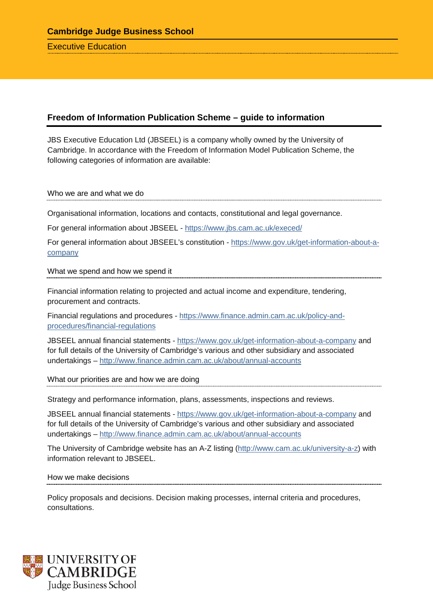Executive Education

## **Freedom of Information Publication Scheme – guide to information**

JBS Executive Education Ltd (JBSEEL) is a company wholly owned by the University of Cambridge. In accordance with the Freedom of Information Model Publication Scheme, the following categories of information are available:

Who we are and what we do

Organisational information, locations and contacts, constitutional and legal governance.

For general information about JBSEEL - <https://www.jbs.cam.ac.uk/execed/>

For general information about JBSEEL's constitution - [https://www.gov.uk/get-information-about-a](https://www.gov.uk/get-information-about-a-company)[company](https://www.gov.uk/get-information-about-a-company)

What we spend and how we spend it

Financial information relating to projected and actual income and expenditure, tendering, procurement and contracts.

Financial regulations and procedures - [https://www.finance.admin.cam.ac.uk/policy-and](https://www.finance.admin.cam.ac.uk/policy-and-procedures/financial-regulations)[procedures/financial-regulations](https://www.finance.admin.cam.ac.uk/policy-and-procedures/financial-regulations)

JBSEEL annual financial statements - <https://www.gov.uk/get-information-about-a-company> and for full details of the University of Cambridge's various and other subsidiary and associated undertakings – <http://www.finance.admin.cam.ac.uk/about/annual-accounts>

What our priorities are and how we are doing

Strategy and performance information, plans, assessments, inspections and reviews.

JBSEEL annual financial statements - <https://www.gov.uk/get-information-about-a-company> and for full details of the University of Cambridge's various and other subsidiary and associated undertakings – <http://www.finance.admin.cam.ac.uk/about/annual-accounts>

The University of Cambridge website has an A-Z listing [\(http://www.cam.ac.uk/university-a-z\)](http://www.cam.ac.uk/university-a-z) with information relevant to JBSEEL.

## How we make decisions

Policy proposals and decisions. Decision making processes, internal criteria and procedures, consultations.